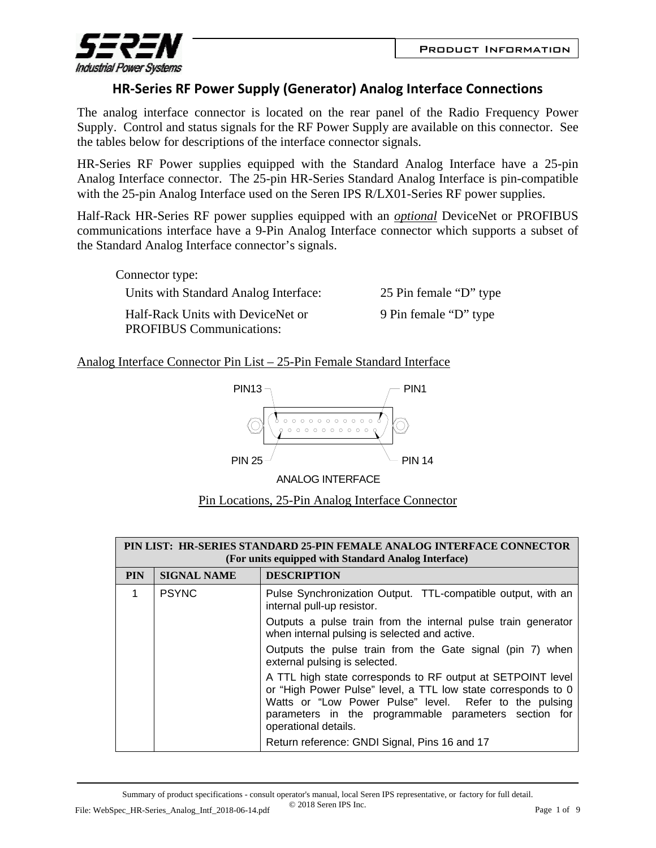

## **HR‐Series RF Power Supply (Generator) Analog Interface Connections**

The analog interface connector is located on the rear panel of the Radio Frequency Power Supply. Control and status signals for the RF Power Supply are available on this connector. See the tables below for descriptions of the interface connector signals.

HR-Series RF Power supplies equipped with the Standard Analog Interface have a 25-pin Analog Interface connector. The 25-pin HR-Series Standard Analog Interface is pin-compatible with the 25-pin Analog Interface used on the Seren IPS R/LX01-Series RF power supplies.

Half-Rack HR-Series RF power supplies equipped with an *optional* DeviceNet or PROFIBUS communications interface have a 9-Pin Analog Interface connector which supports a subset of the Standard Analog Interface connector's signals.

| Connector type:                                                      |                        |
|----------------------------------------------------------------------|------------------------|
| Units with Standard Analog Interface:                                | 25 Pin female "D" type |
| Half-Rack Units with DeviceNet or<br><b>PROFIBUS</b> Communications: | 9 Pin female "D" type  |

Analog Interface Connector Pin List – 25-Pin Female Standard Interface



ANALOG INTERFACE

| Pin Locations, 25-Pin Analog Interface Connector |
|--------------------------------------------------|
|--------------------------------------------------|

| PIN LIST: HR-SERIES STANDARD 25-PIN FEMALE ANALOG INTERFACE CONNECTOR<br>(For units equipped with Standard Analog Interface) |                    |                                                                                                                                                                                                                                                                         |
|------------------------------------------------------------------------------------------------------------------------------|--------------------|-------------------------------------------------------------------------------------------------------------------------------------------------------------------------------------------------------------------------------------------------------------------------|
| <b>PIN</b>                                                                                                                   | <b>SIGNAL NAME</b> | <b>DESCRIPTION</b>                                                                                                                                                                                                                                                      |
|                                                                                                                              | <b>PSYNC</b>       | Pulse Synchronization Output. TTL-compatible output, with an<br>internal pull-up resistor.                                                                                                                                                                              |
|                                                                                                                              |                    | Outputs a pulse train from the internal pulse train generator<br>when internal pulsing is selected and active.                                                                                                                                                          |
|                                                                                                                              |                    | Outputs the pulse train from the Gate signal (pin 7) when<br>external pulsing is selected.                                                                                                                                                                              |
|                                                                                                                              |                    | A TTL high state corresponds to RF output at SETPOINT level<br>or "High Power Pulse" level, a TTL low state corresponds to 0<br>Watts or "Low Power Pulse" level. Refer to the pulsing<br>parameters in the programmable parameters section for<br>operational details. |
|                                                                                                                              |                    | Return reference: GNDI Signal, Pins 16 and 17                                                                                                                                                                                                                           |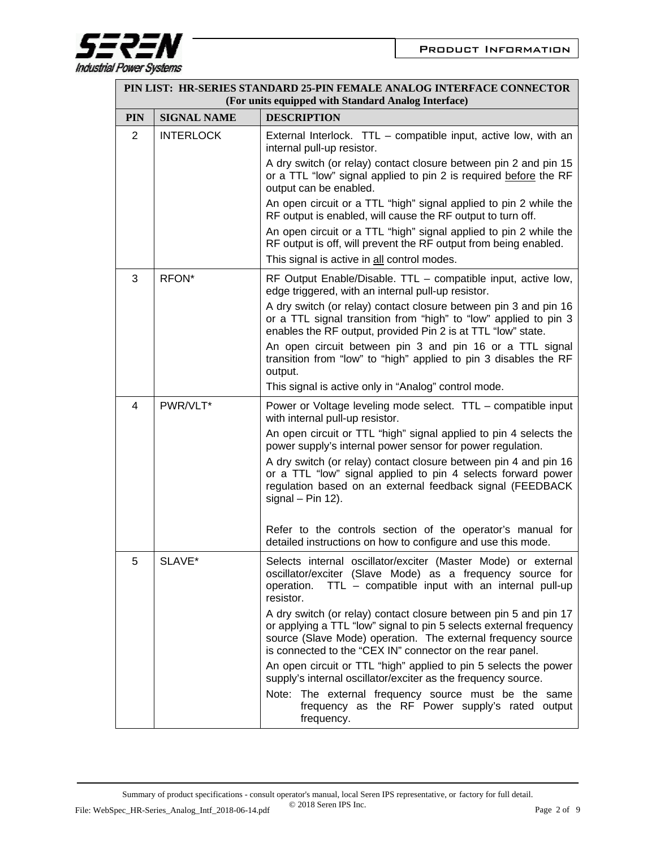

| PIN LIST: HR-SERIES STANDARD 25-PIN FEMALE ANALOG INTERFACE CONNECTOR<br>(For units equipped with Standard Analog Interface) |                    |                                                                                                                                                                                                                                                                     |
|------------------------------------------------------------------------------------------------------------------------------|--------------------|---------------------------------------------------------------------------------------------------------------------------------------------------------------------------------------------------------------------------------------------------------------------|
| <b>PIN</b>                                                                                                                   | <b>SIGNAL NAME</b> | <b>DESCRIPTION</b>                                                                                                                                                                                                                                                  |
| $\overline{2}$                                                                                                               | <b>INTERLOCK</b>   | External Interlock. TTL - compatible input, active low, with an<br>internal pull-up resistor.                                                                                                                                                                       |
|                                                                                                                              |                    | A dry switch (or relay) contact closure between pin 2 and pin 15<br>or a TTL "low" signal applied to pin 2 is required before the RF<br>output can be enabled.                                                                                                      |
|                                                                                                                              |                    | An open circuit or a TTL "high" signal applied to pin 2 while the<br>RF output is enabled, will cause the RF output to turn off.                                                                                                                                    |
|                                                                                                                              |                    | An open circuit or a TTL "high" signal applied to pin 2 while the<br>RF output is off, will prevent the RF output from being enabled.                                                                                                                               |
|                                                                                                                              |                    | This signal is active in all control modes.                                                                                                                                                                                                                         |
| 3                                                                                                                            | RFON*              | RF Output Enable/Disable. TTL – compatible input, active low,<br>edge triggered, with an internal pull-up resistor.                                                                                                                                                 |
|                                                                                                                              |                    | A dry switch (or relay) contact closure between pin 3 and pin 16<br>or a TTL signal transition from "high" to "low" applied to pin 3<br>enables the RF output, provided Pin 2 is at TTL "low" state.                                                                |
|                                                                                                                              |                    | An open circuit between pin 3 and pin 16 or a TTL signal<br>transition from "low" to "high" applied to pin 3 disables the RF<br>output.                                                                                                                             |
|                                                                                                                              |                    | This signal is active only in "Analog" control mode.                                                                                                                                                                                                                |
| $\overline{4}$                                                                                                               | PWR/VLT*           | Power or Voltage leveling mode select. TTL - compatible input<br>with internal pull-up resistor.                                                                                                                                                                    |
|                                                                                                                              |                    | An open circuit or TTL "high" signal applied to pin 4 selects the<br>power supply's internal power sensor for power regulation.                                                                                                                                     |
|                                                                                                                              |                    | A dry switch (or relay) contact closure between pin 4 and pin 16<br>or a TTL "low" signal applied to pin 4 selects forward power<br>regulation based on an external feedback signal (FEEDBACK<br>signal $-$ Pin 12).                                                |
|                                                                                                                              |                    | Refer to the controls section of the operator's manual for<br>detailed instructions on how to configure and use this mode.                                                                                                                                          |
| 5                                                                                                                            | SLAVE*             | Selects internal oscillator/exciter (Master Mode) or external<br>oscillator/exciter (Slave Mode) as a frequency source for<br>TTL - compatible input with an internal pull-up<br>operation.<br>resistor.                                                            |
|                                                                                                                              |                    | A dry switch (or relay) contact closure between pin 5 and pin 17<br>or applying a TTL "low" signal to pin 5 selects external frequency<br>source (Slave Mode) operation. The external frequency source<br>is connected to the "CEX IN" connector on the rear panel. |
|                                                                                                                              |                    | An open circuit or TTL "high" applied to pin 5 selects the power<br>supply's internal oscillator/exciter as the frequency source.                                                                                                                                   |
|                                                                                                                              |                    | Note: The external frequency source must be the same<br>frequency as the RF Power supply's rated output<br>frequency.                                                                                                                                               |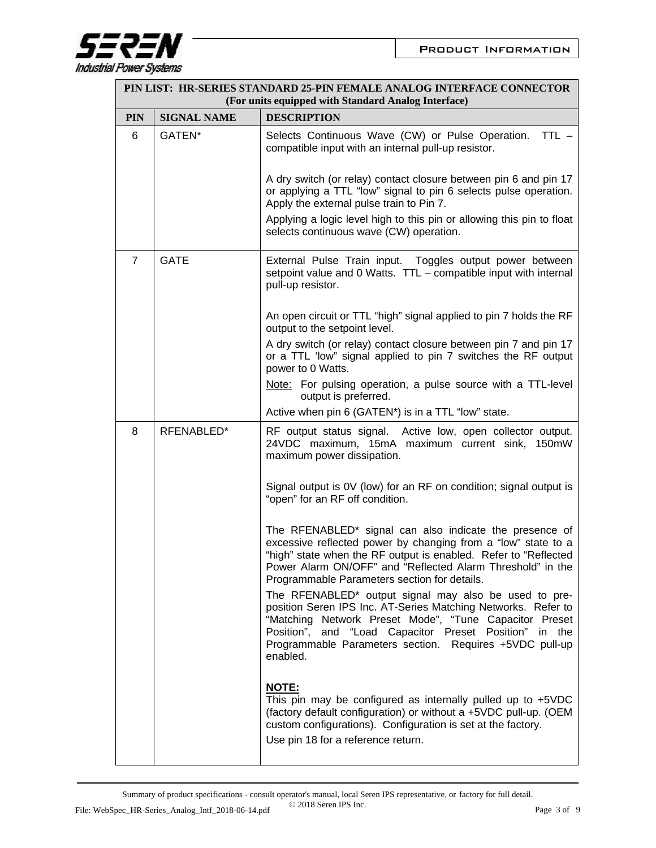

|                | PIN LIST: HR-SERIES STANDARD 25-PIN FEMALE ANALOG INTERFACE CONNECTOR<br>(For units equipped with Standard Analog Interface) |                                                                                                                                                                                                                                                                                                                   |  |
|----------------|------------------------------------------------------------------------------------------------------------------------------|-------------------------------------------------------------------------------------------------------------------------------------------------------------------------------------------------------------------------------------------------------------------------------------------------------------------|--|
| <b>PIN</b>     | <b>SIGNAL NAME</b>                                                                                                           | <b>DESCRIPTION</b>                                                                                                                                                                                                                                                                                                |  |
| 6              | GATEN*                                                                                                                       | Selects Continuous Wave (CW) or Pulse Operation.<br>$TTL -$<br>compatible input with an internal pull-up resistor.                                                                                                                                                                                                |  |
|                |                                                                                                                              | A dry switch (or relay) contact closure between pin 6 and pin 17<br>or applying a TTL "low" signal to pin 6 selects pulse operation.<br>Apply the external pulse train to Pin 7.                                                                                                                                  |  |
|                |                                                                                                                              | Applying a logic level high to this pin or allowing this pin to float<br>selects continuous wave (CW) operation.                                                                                                                                                                                                  |  |
| $\overline{7}$ | <b>GATE</b>                                                                                                                  | External Pulse Train input. Toggles output power between<br>setpoint value and 0 Watts. TTL - compatible input with internal<br>pull-up resistor.                                                                                                                                                                 |  |
|                |                                                                                                                              | An open circuit or TTL "high" signal applied to pin 7 holds the RF<br>output to the setpoint level.                                                                                                                                                                                                               |  |
|                |                                                                                                                              | A dry switch (or relay) contact closure between pin 7 and pin 17<br>or a TTL 'low" signal applied to pin 7 switches the RF output<br>power to 0 Watts.                                                                                                                                                            |  |
|                |                                                                                                                              | Note: For pulsing operation, a pulse source with a TTL-level<br>output is preferred.                                                                                                                                                                                                                              |  |
|                |                                                                                                                              | Active when pin 6 (GATEN*) is in a TTL "low" state.                                                                                                                                                                                                                                                               |  |
| 8              | RFENABLED*                                                                                                                   | RF output status signal. Active low, open collector output.<br>24VDC maximum, 15mA maximum current sink, 150mW<br>maximum power dissipation.                                                                                                                                                                      |  |
|                |                                                                                                                              | Signal output is 0V (low) for an RF on condition; signal output is<br>"open" for an RF off condition.                                                                                                                                                                                                             |  |
|                |                                                                                                                              | The RFENABLED* signal can also indicate the presence of<br>excessive reflected power by changing from a "low" state to a<br>"high" state when the RF output is enabled. Refer to "Reflected<br>Power Alarm ON/OFF" and "Reflected Alarm Threshold" in the<br>Programmable Parameters section for details.         |  |
|                |                                                                                                                              | The RFENABLED* output signal may also be used to pre-<br>position Seren IPS Inc. AT-Series Matching Networks. Refer to<br>"Matching Network Preset Mode", "Tune Capacitor Preset<br>Position", and "Load Capacitor Preset Position" in the<br>Programmable Parameters section. Requires +5VDC pull-up<br>enabled. |  |
|                |                                                                                                                              | <b>NOTE:</b><br>This pin may be configured as internally pulled up to $+5VDC$<br>(factory default configuration) or without a +5VDC pull-up. (OEM<br>custom configurations). Configuration is set at the factory.<br>Use pin 18 for a reference return.                                                           |  |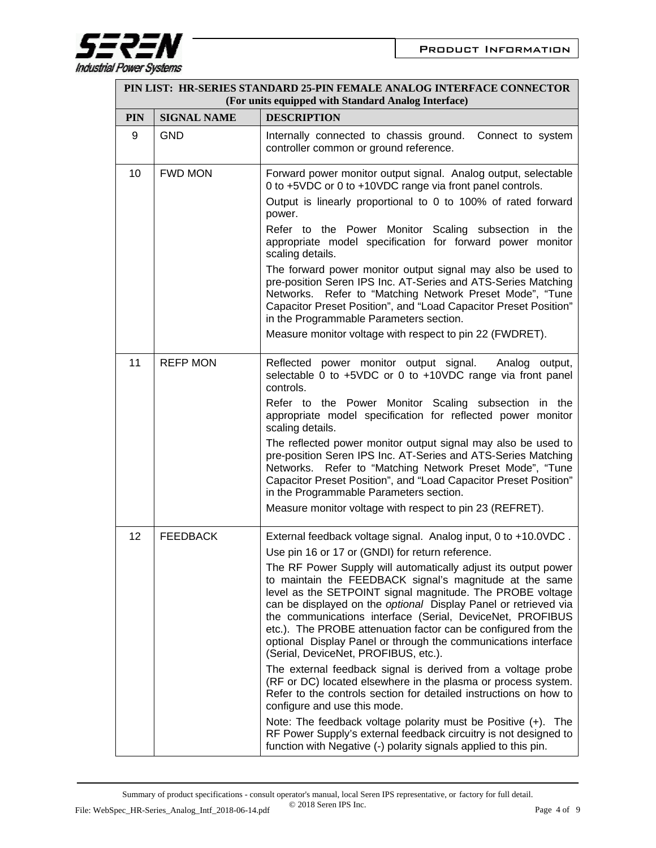

|            | PIN LIST: HR-SERIES STANDARD 25-PIN FEMALE ANALOG INTERFACE CONNECTOR<br>(For units equipped with Standard Analog Interface) |                                                                                                                                                                                                                                                                                                                                                                                                                                                                                                    |  |
|------------|------------------------------------------------------------------------------------------------------------------------------|----------------------------------------------------------------------------------------------------------------------------------------------------------------------------------------------------------------------------------------------------------------------------------------------------------------------------------------------------------------------------------------------------------------------------------------------------------------------------------------------------|--|
| <b>PIN</b> | <b>SIGNAL NAME</b>                                                                                                           | <b>DESCRIPTION</b>                                                                                                                                                                                                                                                                                                                                                                                                                                                                                 |  |
| 9          | <b>GND</b>                                                                                                                   | Internally connected to chassis ground.<br>Connect to system<br>controller common or ground reference.                                                                                                                                                                                                                                                                                                                                                                                             |  |
| 10         | <b>FWD MON</b>                                                                                                               | Forward power monitor output signal. Analog output, selectable<br>0 to +5VDC or 0 to +10VDC range via front panel controls.<br>Output is linearly proportional to 0 to 100% of rated forward                                                                                                                                                                                                                                                                                                       |  |
|            |                                                                                                                              | power.                                                                                                                                                                                                                                                                                                                                                                                                                                                                                             |  |
|            |                                                                                                                              | Refer to the Power Monitor Scaling subsection in the<br>appropriate model specification for forward power monitor<br>scaling details.                                                                                                                                                                                                                                                                                                                                                              |  |
|            |                                                                                                                              | The forward power monitor output signal may also be used to<br>pre-position Seren IPS Inc. AT-Series and ATS-Series Matching<br>Networks. Refer to "Matching Network Preset Mode", "Tune<br>Capacitor Preset Position", and "Load Capacitor Preset Position"<br>in the Programmable Parameters section.                                                                                                                                                                                            |  |
|            |                                                                                                                              | Measure monitor voltage with respect to pin 22 (FWDRET).                                                                                                                                                                                                                                                                                                                                                                                                                                           |  |
| 11         | <b>REFP MON</b>                                                                                                              | Reflected power monitor output signal. Analog output,<br>selectable 0 to +5VDC or 0 to +10VDC range via front panel<br>controls.                                                                                                                                                                                                                                                                                                                                                                   |  |
|            |                                                                                                                              | Refer to the Power Monitor Scaling subsection in the<br>appropriate model specification for reflected power monitor<br>scaling details.                                                                                                                                                                                                                                                                                                                                                            |  |
|            |                                                                                                                              | The reflected power monitor output signal may also be used to<br>pre-position Seren IPS Inc. AT-Series and ATS-Series Matching<br>Networks. Refer to "Matching Network Preset Mode", "Tune<br>Capacitor Preset Position", and "Load Capacitor Preset Position"<br>in the Programmable Parameters section.                                                                                                                                                                                          |  |
|            |                                                                                                                              | Measure monitor voltage with respect to pin 23 (REFRET).                                                                                                                                                                                                                                                                                                                                                                                                                                           |  |
| 12         | <b>FEEDBACK</b>                                                                                                              | External feedback voltage signal. Analog input, 0 to +10.0VDC.<br>Use pin 16 or 17 or (GNDI) for return reference.                                                                                                                                                                                                                                                                                                                                                                                 |  |
|            |                                                                                                                              | The RF Power Supply will automatically adjust its output power<br>to maintain the FEEDBACK signal's magnitude at the same<br>level as the SETPOINT signal magnitude. The PROBE voltage<br>can be displayed on the optional Display Panel or retrieved via<br>the communications interface (Serial, DeviceNet, PROFIBUS<br>etc.). The PROBE attenuation factor can be configured from the<br>optional Display Panel or through the communications interface<br>(Serial, DeviceNet, PROFIBUS, etc.). |  |
|            |                                                                                                                              | The external feedback signal is derived from a voltage probe<br>(RF or DC) located elsewhere in the plasma or process system.<br>Refer to the controls section for detailed instructions on how to<br>configure and use this mode.                                                                                                                                                                                                                                                                 |  |
|            |                                                                                                                              | Note: The feedback voltage polarity must be Positive (+). The<br>RF Power Supply's external feedback circuitry is not designed to<br>function with Negative (-) polarity signals applied to this pin.                                                                                                                                                                                                                                                                                              |  |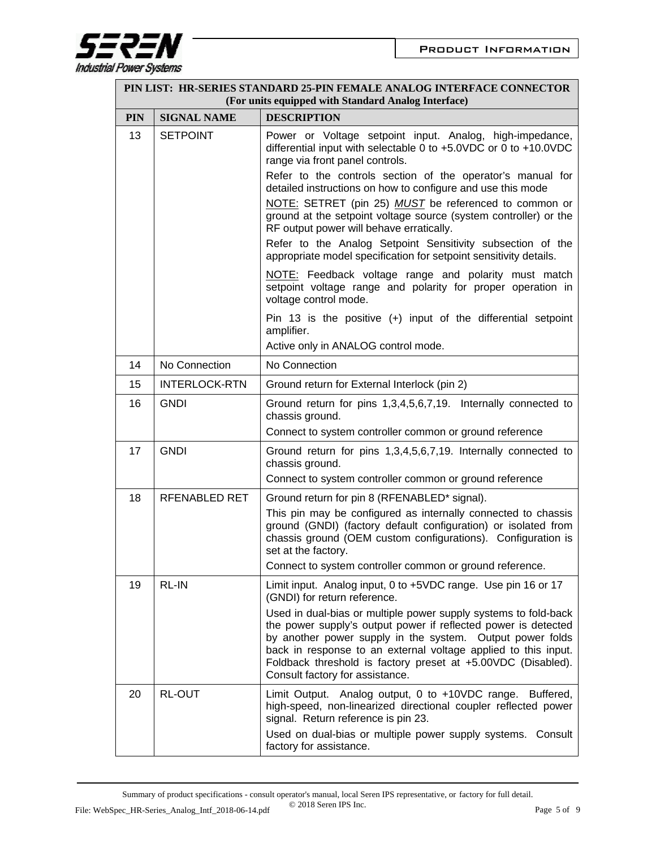

|            | PIN LIST: HR-SERIES STANDARD 25-PIN FEMALE ANALOG INTERFACE CONNECTOR<br>(For units equipped with Standard Analog Interface) |                                                                                                                                                                                                                                                                                                                                                                     |  |
|------------|------------------------------------------------------------------------------------------------------------------------------|---------------------------------------------------------------------------------------------------------------------------------------------------------------------------------------------------------------------------------------------------------------------------------------------------------------------------------------------------------------------|--|
| <b>PIN</b> | <b>SIGNAL NAME</b>                                                                                                           | <b>DESCRIPTION</b>                                                                                                                                                                                                                                                                                                                                                  |  |
| 13         | <b>SETPOINT</b>                                                                                                              | Power or Voltage setpoint input. Analog, high-impedance,<br>differential input with selectable 0 to +5.0VDC or 0 to +10.0VDC<br>range via front panel controls.                                                                                                                                                                                                     |  |
|            |                                                                                                                              | Refer to the controls section of the operator's manual for<br>detailed instructions on how to configure and use this mode                                                                                                                                                                                                                                           |  |
|            |                                                                                                                              | NOTE: SETRET (pin 25) MUST be referenced to common or<br>ground at the setpoint voltage source (system controller) or the<br>RF output power will behave erratically.                                                                                                                                                                                               |  |
|            |                                                                                                                              | Refer to the Analog Setpoint Sensitivity subsection of the<br>appropriate model specification for setpoint sensitivity details.                                                                                                                                                                                                                                     |  |
|            |                                                                                                                              | NOTE: Feedback voltage range and polarity must match<br>setpoint voltage range and polarity for proper operation in<br>voltage control mode.                                                                                                                                                                                                                        |  |
|            |                                                                                                                              | Pin 13 is the positive $(+)$ input of the differential setpoint<br>amplifier.                                                                                                                                                                                                                                                                                       |  |
|            |                                                                                                                              | Active only in ANALOG control mode.                                                                                                                                                                                                                                                                                                                                 |  |
| 14         | No Connection                                                                                                                | No Connection                                                                                                                                                                                                                                                                                                                                                       |  |
| 15         | <b>INTERLOCK-RTN</b>                                                                                                         | Ground return for External Interlock (pin 2)                                                                                                                                                                                                                                                                                                                        |  |
| 16         | <b>GNDI</b>                                                                                                                  | Ground return for pins 1,3,4,5,6,7,19. Internally connected to<br>chassis ground.                                                                                                                                                                                                                                                                                   |  |
|            |                                                                                                                              | Connect to system controller common or ground reference                                                                                                                                                                                                                                                                                                             |  |
| 17         | <b>GNDI</b>                                                                                                                  | Ground return for pins 1,3,4,5,6,7,19. Internally connected to<br>chassis ground.                                                                                                                                                                                                                                                                                   |  |
|            |                                                                                                                              | Connect to system controller common or ground reference                                                                                                                                                                                                                                                                                                             |  |
| 18         | <b>RFENABLED RET</b>                                                                                                         | Ground return for pin 8 (RFENABLED* signal).<br>This pin may be configured as internally connected to chassis<br>ground (GNDI) (factory default configuration) or isolated from                                                                                                                                                                                     |  |
|            |                                                                                                                              | chassis ground (OEM custom configurations). Configuration is<br>set at the factory.                                                                                                                                                                                                                                                                                 |  |
|            |                                                                                                                              | Connect to system controller common or ground reference.                                                                                                                                                                                                                                                                                                            |  |
| 19         | RL-IN                                                                                                                        | Limit input. Analog input, 0 to +5VDC range. Use pin 16 or 17<br>(GNDI) for return reference.                                                                                                                                                                                                                                                                       |  |
|            |                                                                                                                              | Used in dual-bias or multiple power supply systems to fold-back<br>the power supply's output power if reflected power is detected<br>by another power supply in the system. Output power folds<br>back in response to an external voltage applied to this input.<br>Foldback threshold is factory preset at +5.00VDC (Disabled).<br>Consult factory for assistance. |  |
| 20         | <b>RL-OUT</b>                                                                                                                | Limit Output. Analog output, 0 to +10VDC range. Buffered,<br>high-speed, non-linearized directional coupler reflected power<br>signal. Return reference is pin 23.                                                                                                                                                                                                  |  |
|            |                                                                                                                              | Used on dual-bias or multiple power supply systems. Consult<br>factory for assistance.                                                                                                                                                                                                                                                                              |  |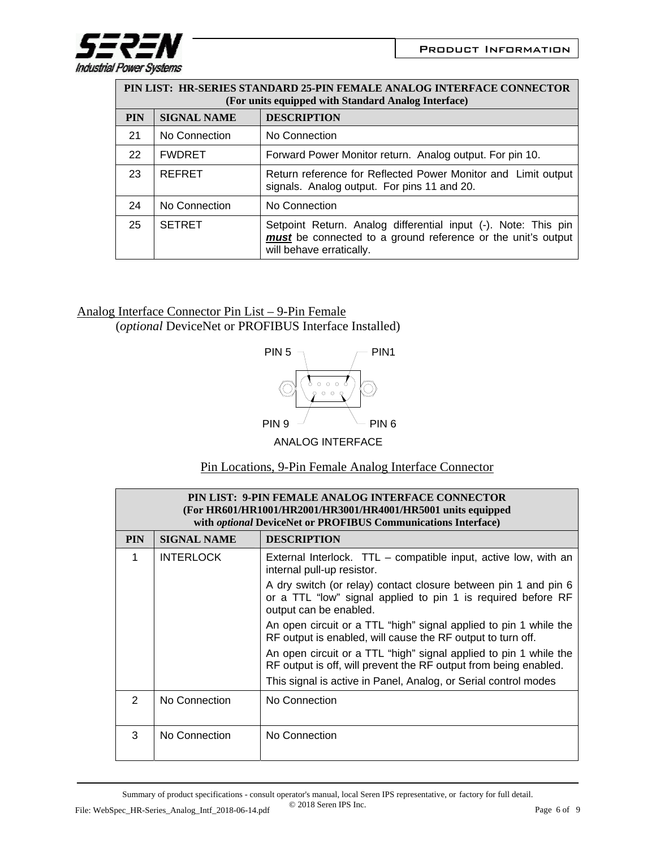

| PIN LIST: HR-SERIES STANDARD 25-PIN FEMALE ANALOG INTERFACE CONNECTOR<br>(For units equipped with Standard Analog Interface) |                    |                                                                                                                                                            |
|------------------------------------------------------------------------------------------------------------------------------|--------------------|------------------------------------------------------------------------------------------------------------------------------------------------------------|
| <b>PIN</b>                                                                                                                   | <b>SIGNAL NAME</b> | <b>DESCRIPTION</b>                                                                                                                                         |
| 21                                                                                                                           | No Connection      | No Connection                                                                                                                                              |
| 22                                                                                                                           | <b>FWDRET</b>      | Forward Power Monitor return. Analog output. For pin 10.                                                                                                   |
| 23                                                                                                                           | <b>REFRET</b>      | Return reference for Reflected Power Monitor and Limit output<br>signals. Analog output. For pins 11 and 20.                                               |
| 24                                                                                                                           | No Connection      | No Connection                                                                                                                                              |
| 25                                                                                                                           | <b>SETRET</b>      | Setpoint Return. Analog differential input (-). Note: This pin<br>must be connected to a ground reference or the unit's output<br>will behave erratically. |

## Analog Interface Connector Pin List – 9-Pin Female (*optional* DeviceNet or PROFIBUS Interface Installed)



ANALOG INTERFACE

| Pin Locations, 9-Pin Female Analog Interface Connector |
|--------------------------------------------------------|
|--------------------------------------------------------|

| PIN LIST: 9-PIN FEMALE ANALOG INTERFACE CONNECTOR<br>(For HR601/HR1001/HR2001/HR3001/HR4001/HR5001 units equipped<br>with <i>optional</i> DeviceNet or PROFIBUS Communications Interface) |                    |                                                                                                                                                           |
|-------------------------------------------------------------------------------------------------------------------------------------------------------------------------------------------|--------------------|-----------------------------------------------------------------------------------------------------------------------------------------------------------|
| <b>PIN</b>                                                                                                                                                                                | <b>SIGNAL NAME</b> | <b>DESCRIPTION</b>                                                                                                                                        |
| 1                                                                                                                                                                                         | <b>INTERLOCK</b>   | External Interlock. TTL – compatible input, active low, with an<br>internal pull-up resistor.                                                             |
|                                                                                                                                                                                           |                    | A dry switch (or relay) contact closure between pin 1 and pin 6<br>or a TTL "low" signal applied to pin 1 is required before RF<br>output can be enabled. |
|                                                                                                                                                                                           |                    | An open circuit or a TTL "high" signal applied to pin 1 while the<br>RF output is enabled, will cause the RF output to turn off.                          |
|                                                                                                                                                                                           |                    | An open circuit or a TTL "high" signal applied to pin 1 while the<br>RF output is off, will prevent the RF output from being enabled.                     |
|                                                                                                                                                                                           |                    | This signal is active in Panel, Analog, or Serial control modes                                                                                           |
| $\mathcal{P}$                                                                                                                                                                             | No Connection      | No Connection                                                                                                                                             |
| 3                                                                                                                                                                                         | No Connection      | No Connection                                                                                                                                             |

Summary of product specifications - consult operator's manual, local Seren IPS representative, or factory for full detail. © 2018 Seren IPS Inc. File: WebSpec\_HR-Series\_Analog\_Intf\_2018-06-14.pdf  $\degree$  2018 Seren IPS Inc. Page 6 of 9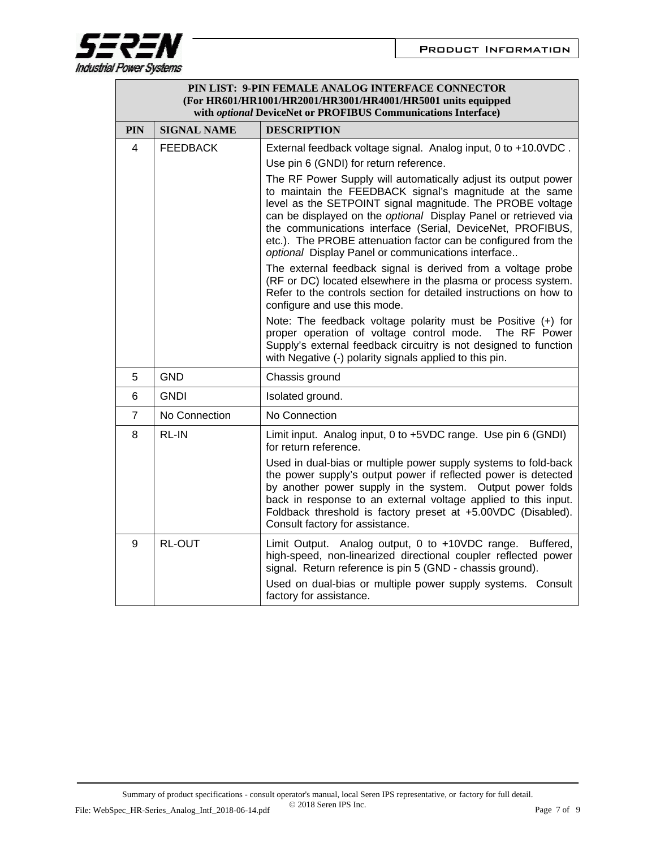

 $\Gamma$ 

| PIN LIST: 9-PIN FEMALE ANALOG INTERFACE CONNECTOR<br>(For HR601/HR1001/HR2001/HR3001/HR4001/HR5001 units equipped<br>with optional DeviceNet or PROFIBUS Communications Interface) |                    |                                                                                                                                                                                                                                                                                                                                                                                                                                                                                                                                                                                                                                                                                                                                                                                                                                                                                                                                                                                                                                                            |
|------------------------------------------------------------------------------------------------------------------------------------------------------------------------------------|--------------------|------------------------------------------------------------------------------------------------------------------------------------------------------------------------------------------------------------------------------------------------------------------------------------------------------------------------------------------------------------------------------------------------------------------------------------------------------------------------------------------------------------------------------------------------------------------------------------------------------------------------------------------------------------------------------------------------------------------------------------------------------------------------------------------------------------------------------------------------------------------------------------------------------------------------------------------------------------------------------------------------------------------------------------------------------------|
| <b>PIN</b>                                                                                                                                                                         | <b>SIGNAL NAME</b> | <b>DESCRIPTION</b>                                                                                                                                                                                                                                                                                                                                                                                                                                                                                                                                                                                                                                                                                                                                                                                                                                                                                                                                                                                                                                         |
| $\overline{4}$                                                                                                                                                                     | <b>FEEDBACK</b>    | External feedback voltage signal. Analog input, 0 to +10.0VDC.<br>Use pin 6 (GNDI) for return reference.<br>The RF Power Supply will automatically adjust its output power<br>to maintain the FEEDBACK signal's magnitude at the same<br>level as the SETPOINT signal magnitude. The PROBE voltage<br>can be displayed on the optional Display Panel or retrieved via<br>the communications interface (Serial, DeviceNet, PROFIBUS,<br>etc.). The PROBE attenuation factor can be configured from the<br>optional Display Panel or communications interface<br>The external feedback signal is derived from a voltage probe<br>(RF or DC) located elsewhere in the plasma or process system.<br>Refer to the controls section for detailed instructions on how to<br>configure and use this mode.<br>Note: The feedback voltage polarity must be Positive (+) for<br>proper operation of voltage control mode. The RF Power<br>Supply's external feedback circuitry is not designed to function<br>with Negative (-) polarity signals applied to this pin. |
| 5                                                                                                                                                                                  | <b>GND</b>         | Chassis ground                                                                                                                                                                                                                                                                                                                                                                                                                                                                                                                                                                                                                                                                                                                                                                                                                                                                                                                                                                                                                                             |
| 6                                                                                                                                                                                  | <b>GNDI</b>        | Isolated ground.                                                                                                                                                                                                                                                                                                                                                                                                                                                                                                                                                                                                                                                                                                                                                                                                                                                                                                                                                                                                                                           |
| $\overline{7}$                                                                                                                                                                     | No Connection      | No Connection                                                                                                                                                                                                                                                                                                                                                                                                                                                                                                                                                                                                                                                                                                                                                                                                                                                                                                                                                                                                                                              |
| 8                                                                                                                                                                                  | <b>RL-IN</b>       | Limit input. Analog input, 0 to +5VDC range. Use pin 6 (GNDI)<br>for return reference.<br>Used in dual-bias or multiple power supply systems to fold-back<br>the power supply's output power if reflected power is detected<br>by another power supply in the system. Output power folds<br>back in response to an external voltage applied to this input.<br>Foldback threshold is factory preset at +5.00VDC (Disabled).<br>Consult factory for assistance.                                                                                                                                                                                                                                                                                                                                                                                                                                                                                                                                                                                              |
| 9                                                                                                                                                                                  | <b>RL-OUT</b>      | Limit Output. Analog output, 0 to +10VDC range. Buffered,<br>high-speed, non-linearized directional coupler reflected power<br>signal. Return reference is pin 5 (GND - chassis ground).<br>Used on dual-bias or multiple power supply systems. Consult<br>factory for assistance.                                                                                                                                                                                                                                                                                                                                                                                                                                                                                                                                                                                                                                                                                                                                                                         |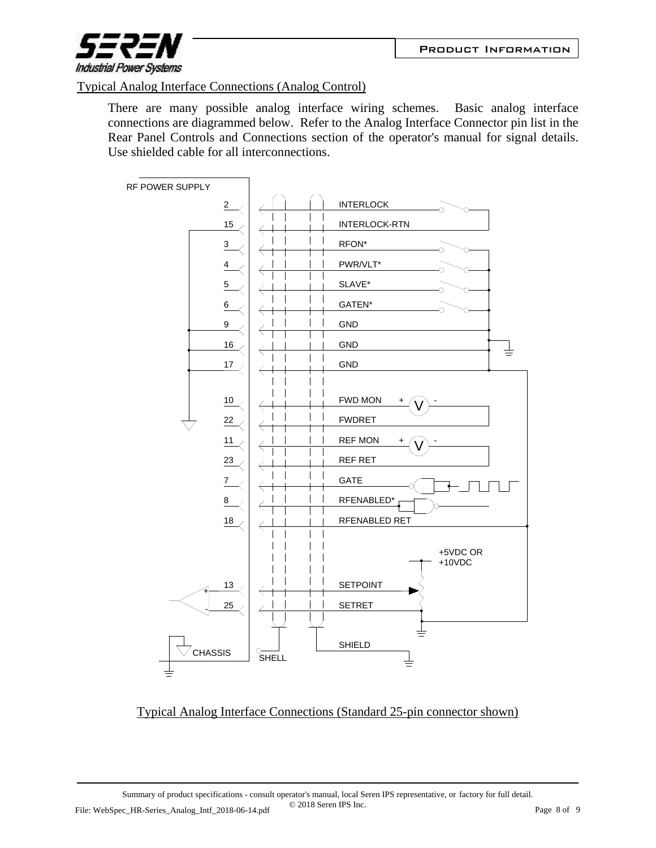

## Typical Analog Interface Connections (Analog Control)

There are many possible analog interface wiring schemes. Basic analog interface connections are diagrammed below. Refer to the Analog Interface Connector pin list in the Rear Panel Controls and Connections section of the operator's manual for signal details. Use shielded cable for all interconnections.



## Typical Analog Interface Connections (Standard 25-pin connector shown)

Summary of product specifications - consult operator's manual, local Seren IPS representative, or factory for full detail. © 2018 Seren IPS Inc. File: WebSpec\_HR-Series\_Analog\_Intf\_2018-06-14.pdf  $\bigcup_{2018}$  Seren IPS Inc.